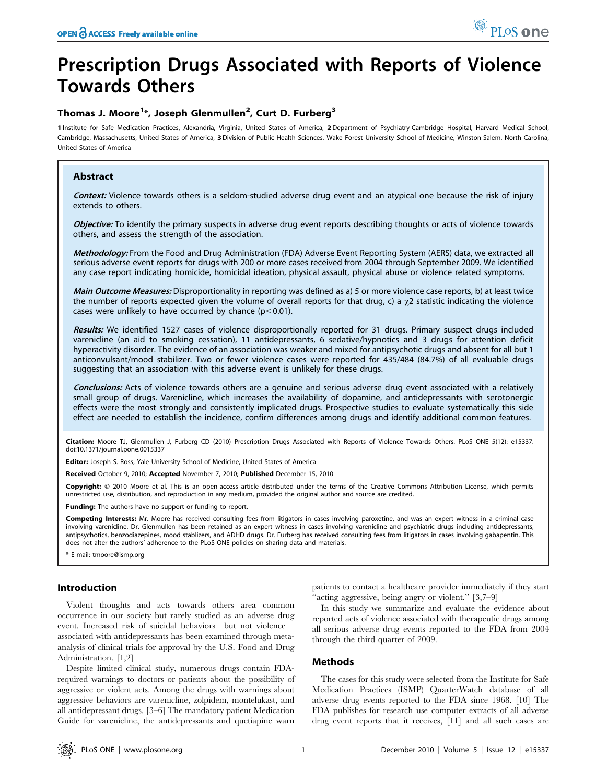# Prescription Drugs Associated with Reports of Violence Towards Others

## Thomas J. Moore<sup>1\*</sup>, Joseph Glenmullen<sup>2</sup>, Curt D. Furberg<sup>3</sup>

1 Institute for Safe Medication Practices, Alexandria, Virginia, United States of America, 2 Department of Psychiatry-Cambridge Hospital, Harvard Medical School, Cambridge, Massachusetts, United States of America, 3 Division of Public Health Sciences, Wake Forest University School of Medicine, Winston-Salem, North Carolina, United States of America

## Abstract

Context: Violence towards others is a seldom-studied adverse drug event and an atypical one because the risk of injury extends to others.

Objective: To identify the primary suspects in adverse drug event reports describing thoughts or acts of violence towards others, and assess the strength of the association.

Methodology: From the Food and Drug Administration (FDA) Adverse Event Reporting System (AERS) data, we extracted all serious adverse event reports for drugs with 200 or more cases received from 2004 through September 2009. We identified any case report indicating homicide, homicidal ideation, physical assault, physical abuse or violence related symptoms.

Main Outcome Measures: Disproportionality in reporting was defined as a) 5 or more violence case reports, b) at least twice the number of reports expected given the volume of overall reports for that drug, c) a  $\chi$ 2 statistic indicating the violence cases were unlikely to have occurred by chance ( $p$ <0.01).

Results: We identified 1527 cases of violence disproportionally reported for 31 drugs. Primary suspect drugs included varenicline (an aid to smoking cessation), 11 antidepressants, 6 sedative/hypnotics and 3 drugs for attention deficit hyperactivity disorder. The evidence of an association was weaker and mixed for antipsychotic drugs and absent for all but 1 anticonvulsant/mood stabilizer. Two or fewer violence cases were reported for 435/484 (84.7%) of all evaluable drugs suggesting that an association with this adverse event is unlikely for these drugs.

Conclusions: Acts of violence towards others are a genuine and serious adverse drug event associated with a relatively small group of drugs. Varenicline, which increases the availability of dopamine, and antidepressants with serotonergic effects were the most strongly and consistently implicated drugs. Prospective studies to evaluate systematically this side effect are needed to establish the incidence, confirm differences among drugs and identify additional common features.

Citation: Moore TJ, Glenmullen J, Furberg CD (2010) Prescription Drugs Associated with Reports of Violence Towards Others. PLoS ONE 5(12): e15337. doi:10.1371/journal.pone.0015337

Editor: Joseph S. Ross, Yale University School of Medicine, United States of America

Received October 9, 2010; Accepted November 7, 2010; Published December 15, 2010

Copyright: © 2010 Moore et al. This is an open-access article distributed under the terms of the Creative Commons Attribution License, which permits unrestricted use, distribution, and reproduction in any medium, provided the original author and source are credited.

**Funding:** The authors have no support or funding to report.

Competing Interests: Mr. Moore has received consulting fees from litigators in cases involving paroxetine, and was an expert witness in a criminal case involving varenicline. Dr. Glenmullen has been retained as an expert witness in cases involving varenicline and psychiatric drugs including antidepressants, antipsychotics, benzodiazepines, mood stablizers, and ADHD drugs. Dr. Furberg has received consulting fees from litigators in cases involving gabapentin. This does not alter the authors' adherence to the PLoS ONE policies on sharing data and materials.

\* E-mail: tmoore@ismp.org

## Introduction

Violent thoughts and acts towards others area common occurrence in our society but rarely studied as an adverse drug event. Increased risk of suicidal behaviors—but not violence associated with antidepressants has been examined through metaanalysis of clinical trials for approval by the U.S. Food and Drug Administration. [1,2]

Despite limited clinical study, numerous drugs contain FDArequired warnings to doctors or patients about the possibility of aggressive or violent acts. Among the drugs with warnings about aggressive behaviors are varenicline, zolpidem, montelukast, and all antidepressant drugs. [3–6] The mandatory patient Medication Guide for varenicline, the antidepressants and quetiapine warn

patients to contact a healthcare provider immediately if they start ''acting aggressive, being angry or violent.'' [3,7–9]

In this study we summarize and evaluate the evidence about reported acts of violence associated with therapeutic drugs among all serious adverse drug events reported to the FDA from 2004 through the third quarter of 2009.

## Methods

The cases for this study were selected from the Institute for Safe Medication Practices (ISMP) QuarterWatch database of all adverse drug events reported to the FDA since 1968. [10] The FDA publishes for research use computer extracts of all adverse drug event reports that it receives, [11] and all such cases are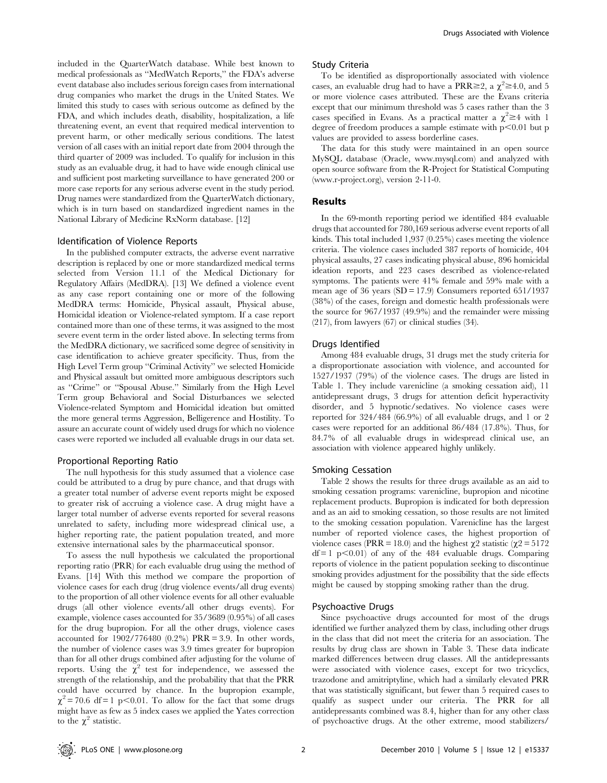included in the QuarterWatch database. While best known to medical professionals as ''MedWatch Reports,'' the FDA's adverse event database also includes serious foreign cases from international drug companies who market the drugs in the United States. We limited this study to cases with serious outcome as defined by the FDA, and which includes death, disability, hospitalization, a life threatening event, an event that required medical intervention to prevent harm, or other medically serious conditions. The latest version of all cases with an initial report date from 2004 through the third quarter of 2009 was included. To qualify for inclusion in this study as an evaluable drug, it had to have wide enough clinical use and sufficient post marketing surveillance to have generated 200 or more case reports for any serious adverse event in the study period. Drug names were standardized from the QuarterWatch dictionary, which is in turn based on standardized ingredient names in the National Library of Medicine RxNorm database. [12]

## Identification of Violence Reports

In the published computer extracts, the adverse event narrative description is replaced by one or more standardized medical terms selected from Version 11.1 of the Medical Dictionary for Regulatory Affairs (MedDRA). [13] We defined a violence event as any case report containing one or more of the following MedDRA terms: Homicide, Physical assault, Physical abuse, Homicidal ideation or Violence-related symptom. If a case report contained more than one of these terms, it was assigned to the most severe event term in the order listed above. In selecting terms from the MedDRA dictionary, we sacrificed some degree of sensitivity in case identification to achieve greater specificity. Thus, from the High Level Term group ''Criminal Activity'' we selected Homicide and Physical assault but omitted more ambiguous descriptors such as ''Crime'' or ''Spousal Abuse.'' Similarly from the High Level Term group Behavioral and Social Disturbances we selected Violence-related Symptom and Homicidal ideation but omitted the more general terms Aggression, Belligerence and Hostility. To assure an accurate count of widely used drugs for which no violence cases were reported we included all evaluable drugs in our data set.

#### Proportional Reporting Ratio

The null hypothesis for this study assumed that a violence case could be attributed to a drug by pure chance, and that drugs with a greater total number of adverse event reports might be exposed to greater risk of accruing a violence case. A drug might have a larger total number of adverse events reported for several reasons unrelated to safety, including more widespread clinical use, a higher reporting rate, the patient population treated, and more extensive international sales by the pharmaceutical sponsor.

To assess the null hypothesis we calculated the proportional reporting ratio (PRR) for each evaluable drug using the method of Evans. [14] With this method we compare the proportion of violence cases for each drug (drug violence events/all drug events) to the proportion of all other violence events for all other evaluable drugs (all other violence events/all other drugs events). For example, violence cases accounted for 35/3689 (0.95%) of all cases for the drug bupropion. For all the other drugs, violence cases accounted for 1902/776480 (0.2%) PRR = 3.9. In other words, the number of violence cases was 3.9 times greater for bupropion than for all other drugs combined after adjusting for the volume of reports. Using the  $\chi^2$  test for independence, we assessed the strength of the relationship, and the probability that that the PRR could have occurred by chance. In the bupropion example,  $\chi^2$  = 70.6 df = 1 p < 0.01. To allow for the fact that some drugs might have as few as 5 index cases we applied the Yates correction to the  $\chi^2$  statistic.

#### Study Criteria

To be identified as disproportionally associated with violence cases, an evaluable drug had to have a PRR $\geq 2$ , a  $\chi^2 \geq 4.0$ , and 5 or more violence cases attributed. These are the Evans criteria except that our minimum threshold was 5 cases rather than the 3 cases specified in Evans. As a practical matter a  $\chi^2 \geq 4$  with 1 degree of freedom produces a sample estimate with  $p<0.01$  but p values are provided to assess borderline cases.

The data for this study were maintained in an open source MySQL database (Oracle, www.mysql.com) and analyzed with open source software from the R-Project for Statistical Computing (www.r-project.org), version 2-11-0.

### Results

In the 69-month reporting period we identified 484 evaluable drugs that accounted for 780,169 serious adverse event reports of all kinds. This total included 1,937 (0.25%) cases meeting the violence criteria. The violence cases included 387 reports of homicide, 404 physical assaults, 27 cases indicating physical abuse, 896 homicidal ideation reports, and 223 cases described as violence-related symptoms. The patients were 41% female and 59% male with a mean age of 36 years ( $SD = 17.9$ ) Consumers reported  $651/1937$ (38%) of the cases, foreign and domestic health professionals were the source for 967/1937 (49.9%) and the remainder were missing (217), from lawyers (67) or clinical studies (34).

#### Drugs Identified

Among 484 evaluable drugs, 31 drugs met the study criteria for a disproportionate association with violence, and accounted for 1527/1937 (79%) of the violence cases. The drugs are listed in Table 1. They include varenicline (a smoking cessation aid), 11 antidepressant drugs, 3 drugs for attention deficit hyperactivity disorder, and 5 hypnotic/sedatives. No violence cases were reported for 324/484 (66.9%) of all evaluable drugs, and 1 or 2 cases were reported for an additional 86/484 (17.8%). Thus, for 84.7% of all evaluable drugs in widespread clinical use, an association with violence appeared highly unlikely.

## Smoking Cessation

Table 2 shows the results for three drugs available as an aid to smoking cessation programs: varenicline, bupropion and nicotine replacement products. Bupropion is indicated for both depression and as an aid to smoking cessation, so those results are not limited to the smoking cessation population. Varenicline has the largest number of reported violence cases, the highest proportion of violence cases (PRR = 18.0) and the highest  $\chi$ 2 statistic ( $\chi$ 2 = 5172  $df = 1$  p $\leq 0.01$ ) of any of the 484 evaluable drugs. Comparing reports of violence in the patient population seeking to discontinue smoking provides adjustment for the possibility that the side effects might be caused by stopping smoking rather than the drug.

#### Psychoactive Drugs

Since psychoactive drugs accounted for most of the drugs identified we further analyzed them by class, including other drugs in the class that did not meet the criteria for an association. The results by drug class are shown in Table 3. These data indicate marked differences between drug classes. All the antidepressants were associated with violence cases, except for two tricyclics, trazodone and amitriptyline, which had a similarly elevated PRR that was statistically significant, but fewer than 5 required cases to qualify as suspect under our criteria. The PRR for all antidepressants combined was 8.4, higher than for any other class of psychoactive drugs. At the other extreme, mood stabilizers/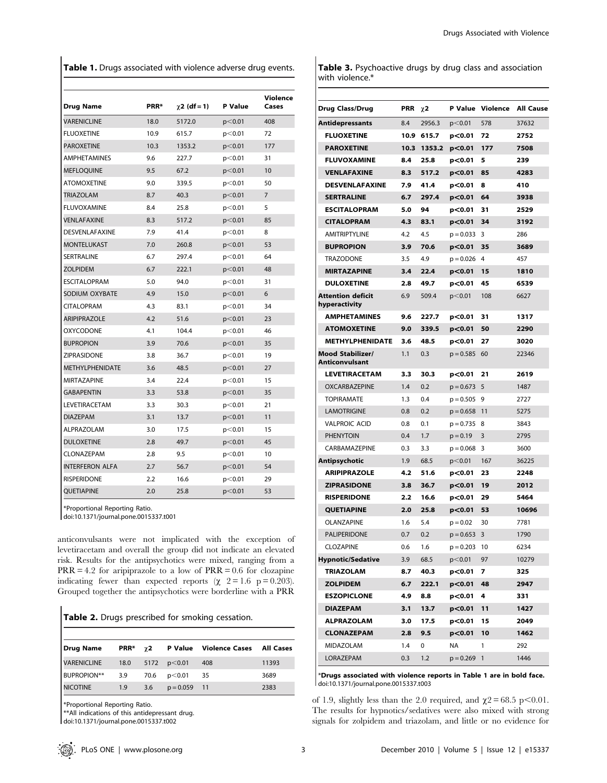Table 1. Drugs associated with violence adverse drug events.

| <b>Drug Name</b>          | PRR* | $\chi$ 2 (df = 1) | P Value   | Violence<br>Cases |
|---------------------------|------|-------------------|-----------|-------------------|
| <b><i>VARENICLINE</i></b> | 18.0 | 5172.0            | p < 0.01  | 408               |
| <b>FLUOXETINE</b>         | 10.9 | 615.7             | p<0.01    | 72                |
| PAROXETINE                | 10.3 | 1353.2            | p<0.01    | 177               |
| <b>AMPHETAMINES</b>       | 9.6  | 227.7             | p<0.01    | 31                |
| <b>MEFLOOUINE</b>         | 9.5  | 67.2              | $p<$ 0.01 | 10                |
| <b>ATOMOXETINE</b>        | 9.0  | 339.5             | p<0.01    | 50                |
| <b>TRIAZOLAM</b>          | 8.7  | 40.3              | p<0.01    | 7                 |
| <b>FLUVOXAMINE</b>        | 8.4  | 25.8              | p<0.01    | 5                 |
| VENLAFAXINE               | 8.3  | 517.2             | p<0.01    | 85                |
| <b>DESVENLAFAXINE</b>     | 7.9  | 41.4              | p<0.01    | 8                 |
| <b>MONTELUKAST</b>        | 7.0  | 260.8             | p<0.01    | 53                |
| SERTRALINE                | 6.7  | 297.4             | p<0.01    | 64                |
| <b>ZOLPIDEM</b>           | 6.7  | 222.1             | p< 0.01   | 48                |
| <b>ESCITALOPRAM</b>       | 5.0  | 94.0              | p<0.01    | 31                |
| SODIUM OXYBATE            | 4.9  | 15.0              | p<0.01    | 6                 |
| <b>CITALOPRAM</b>         | 4.3  | 83.1              | p<0.01    | 34                |
| <b>ARIPIPRAZOLE</b>       | 4.2  | 51.6              | p<0.01    | 23                |
| <b>OXYCODONE</b>          | 4.1  | 104.4             | p<0.01    | 46                |
| <b>BUPROPION</b>          | 3.9  | 70.6              | p<0.01    | 35                |
| ZIPRASIDONE               | 3.8  | 36.7              | p<0.01    | 19                |
| <b>METHYLPHENIDATE</b>    | 3.6  | 48.5              | p<0.01    | 27                |
| MIRTAZAPINE               | 3.4  | 22.4              | p<0.01    | 15                |
| <b>GABAPENTIN</b>         | 3.3  | 53.8              | $p<$ 0.01 | 35                |
| LEVETIRACETAM             | 3.3  | 30.3              | p<0.01    | 21                |
| <b>DIAZEPAM</b>           | 3.1  | 13.7              | $p<$ 0.01 | 11                |
| ALPRAZOLAM                | 3.0  | 17.5              | p<0.01    | 15                |
| <b>DULOXETINE</b>         | 2.8  | 49.7              | $p<$ 0.01 | 45                |
| <b>CLONAZEPAM</b>         | 2.8  | 9.5               | p<0.01    | 10                |
| <b>INTERFERON ALFA</b>    | 2.7  | 56.7              | $p<$ 0.01 | 54                |
| <b>RISPERIDONE</b>        | 2.2  | 16.6              | p<0.01    | 29                |
| <b>OUETIAPINE</b>         | 2.0  | 25.8              | $p<$ 0.01 | 53                |

\*Proportional Reporting Ratio.

doi:10.1371/journal.pone.0015337.t001

anticonvulsants were not implicated with the exception of levetiracetam and overall the group did not indicate an elevated risk. Results for the antipsychotics were mixed, ranging from a  $PRR = 4.2$  for aripiprazole to a low of  $PRR = 0.6$  for clozapine indicating fewer than expected reports ( $\chi$  2 = 1.6 p = 0.203). Grouped together the antipsychotics were borderline with a PRR

|  |  | Table 2. Drugs prescribed for smoking cessation. |  |  |  |
|--|--|--------------------------------------------------|--|--|--|
|--|--|--------------------------------------------------|--|--|--|

| Drug Name          |                  |     |                      | <b>PRR*</b> $\gamma$ 2 P Value Violence Cases All Cases |       |
|--------------------|------------------|-----|----------------------|---------------------------------------------------------|-------|
| <b>VARENICLINE</b> |                  |     | 18.0 $5172$ p < 0.01 | 408                                                     | 11393 |
| <b>BUPROPION**</b> | 3.9              |     | 70.6 $p < 0.01$ 35   |                                                         | 3689  |
| <b>NICOTINE</b>    | 1.9 <sup>°</sup> | 3.6 | $p = 0.059$ 11       |                                                         | 2383  |

\*Proportional Reporting Ratio.

\*\*All indications of this antidepressant drug.

doi:10.1371/journal.pone.0015337.t002

Table 3. Psychoactive drugs by drug class and association with violence.\*

| Drug Class/Drug                           | PRR  | $\chi$ 2 |             | P Value Violence | All Cause |
|-------------------------------------------|------|----------|-------------|------------------|-----------|
| Antidepressants                           | 8.4  | 2956.3   | p<0.01      | 578              | 37632     |
| <b>FLUOXETINE</b>                         | 10.9 | 615.7    | p< 0.01     | 72               | 2752      |
| <b>PAROXETINE</b>                         | 10.3 | 1353.2   | p<0.01      | 177              | 7508      |
| <b>FLUVOXAMINE</b>                        | 8.4  | 25.8     | p< 0.01     | 5                | 239       |
| <b>VENLAFAXINE</b>                        | 8.3  | 517.2    | p< 0.01     | 85               | 4283      |
| <b>DESVENLAFAXINE</b>                     | 7.9  | 41.4     | p< 0.01     | 8                | 410       |
| <b>SERTRALINE</b>                         | 6.7  | 297.4    | p< 0.01     | 64               | 3938      |
| <b>ESCITALOPRAM</b>                       | 5.0  | 94       | p < 0.01    | 31               | 2529      |
| <b>CITALOPRAM</b>                         | 4.3  | 83.1     | p< 0.01     | 34               | 3192      |
| <b>AMITRIPTYLINE</b>                      | 4.2  | 4.5      | $p = 0.033$ | 3                | 286       |
| <b>BUPROPION</b>                          | 3.9  | 70.6     | p<0.01      | 35               | 3689      |
| <b>TRAZODONE</b>                          | 3.5  | 4.9      | $p = 0.026$ | 4                | 457       |
| <b>MIRTAZAPINE</b>                        | 3.4  | 22.4     | p< 0.01     | 15               | 1810      |
| <b>DULOXETINE</b>                         | 2.8  | 49.7     | p< 0.01     | 45               | 6539      |
| <b>Attention deficit</b><br>hyperactivity | 6.9  | 509.4    | p<0.01      | 108              | 6627      |
| <b>AMPHETAMINES</b>                       | 9.6  | 227.7    | p< 0.01     | 31               | 1317      |
| <b>ATOMOXETINE</b>                        | 9.0  | 339.5    | p< 0.01     | 50               | 2290      |
| <b>METHYLPHENIDATE</b>                    | 3.6  | 48.5     | p< 0.01     | 27               | 3020      |
| <b>Mood Stabilizer/</b><br>Anticonvulsant | 1.1  | 0.3      | $p = 0.585$ | 60               | 22346     |
| <b>LEVETIRACETAM</b>                      | 3.3  | 30.3     | p<0.01      | 21               | 2619      |
| <b>OXCARBAZEPINE</b>                      | 1.4  | 0.2      | $p = 0.673$ | 5                | 1487      |
| <b>TOPIRAMATE</b>                         | 1.3  | 0.4      | $p = 0.505$ | 9                | 2727      |
| <b>LAMOTRIGINE</b>                        | 0.8  | 0.2      | $p = 0.658$ | 11               | 5275      |
| <b>VALPROIC ACID</b>                      | 0.8  | 0.1      | $p = 0.735$ | 8                | 3843      |
| <b>PHENYTOIN</b>                          | 0.4  | 1.7      | $p = 0.19$  | 3                | 2795      |
| CARBAMAZEPINE                             | 0.3  | 3.3      | $p = 0.068$ | 3                | 3600      |
| Antipsychotic                             | 1.9  | 68.5     | p<0.01      | 167              | 36225     |
| <b>ARIPIPRAZOLE</b>                       | 4.2  | 51.6     | p<0.01      | 23               | 2248      |
| <b>ZIPRASIDONE</b>                        | 3.8  | 36.7     | p<0.01      | 19               | 2012      |
| <b>RISPERIDONE</b>                        | 2.2  | 16.6     | p< 0.01     | 29               | 5464      |
| <b>QUETIAPINE</b>                         | 2.0  | 25.8     | $p<$ 0.01   | 53               | 10696     |
| OLANZAPINE                                | 1.6  | 5.4      | $p = 0.02$  | 30               | 7781      |
| PALIPERIDONE                              | 0.7  | 0.2      | $p = 0.653$ | 3                | 1790      |
| <b>CLOZAPINE</b>                          | 0.6  | 1.6      | $p = 0.203$ | 10               | 6234      |
| <b>Hypnotic/Sedative</b>                  | 3.9  | 68.5     | p<0.01      | 97               | 10279     |
| <b>TRIAZOLAM</b>                          | 8.7  | 40.3     | $p<$ 0.01   | 7                | 325       |
| <b>ZOLPIDEM</b>                           | 6.7  | 222.1    | $p<$ 0.01   | 48               | 2947      |
| <b>ESZOPICLONE</b>                        | 4.9  | 8.8      | $p<$ 0.01   | 4                | 331       |
| <b>DIAZEPAM</b>                           | 3.1  | 13.7     | p<0.01      | 11               | 1427      |
| <b>ALPRAZOLAM</b>                         | 3.0  | 17.5     | p<0.01      | 15               | 2049      |
| <b>CLONAZEPAM</b>                         | 2.8  | 9.5      | p < 0.01    | 10               | 1462      |
| MIDAZOLAM                                 | 1.4  | 0        | NA          | 1                | 292       |
| LORAZEPAM                                 | 0.3  | 1.2      | $p = 0.269$ | 1                | 1446      |

\*Drugs associated with violence reports in Table 1 are in bold face. doi:10.1371/journal.pone.0015337.t003

of 1.9, slightly less than the 2.0 required, and  $\chi$ 2 = 68.5 p<0.01. The results for hypnotics/sedatives were also mixed with strong signals for zolpidem and triazolam, and little or no evidence for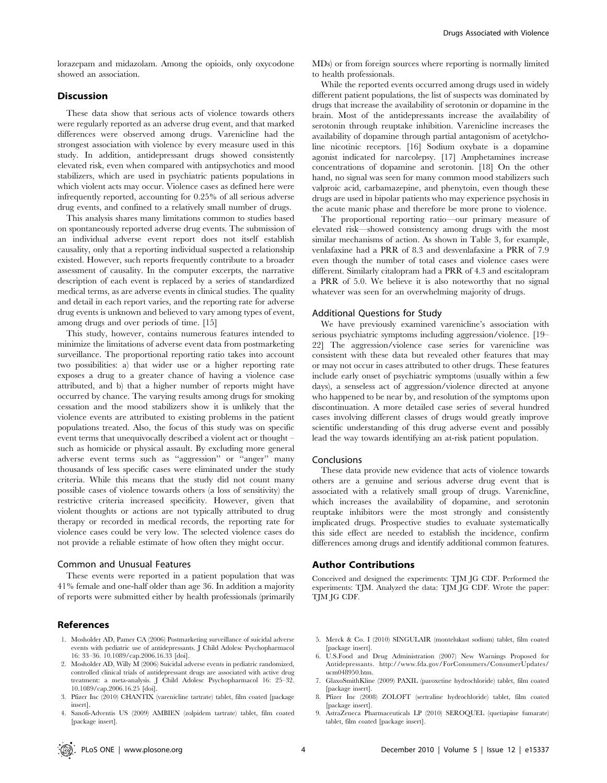lorazepam and midazolam. Among the opioids, only oxycodone showed an association.

## Discussion

These data show that serious acts of violence towards others were regularly reported as an adverse drug event, and that marked differences were observed among drugs. Varenicline had the strongest association with violence by every measure used in this study. In addition, antidepressant drugs showed consistently elevated risk, even when compared with antipsychotics and mood stabilizers, which are used in psychiatric patients populations in which violent acts may occur. Violence cases as defined here were infrequently reported, accounting for 0.25% of all serious adverse drug events, and confined to a relatively small number of drugs.

This analysis shares many limitations common to studies based on spontaneously reported adverse drug events. The submission of an individual adverse event report does not itself establish causality, only that a reporting individual suspected a relationship existed. However, such reports frequently contribute to a broader assessment of causality. In the computer excerpts, the narrative description of each event is replaced by a series of standardized medical terms, as are adverse events in clinical studies. The quality and detail in each report varies, and the reporting rate for adverse drug events is unknown and believed to vary among types of event, among drugs and over periods of time. [15]

This study, however, contains numerous features intended to minimize the limitations of adverse event data from postmarketing surveillance. The proportional reporting ratio takes into account two possibilities: a) that wider use or a higher reporting rate exposes a drug to a greater chance of having a violence case attributed, and b) that a higher number of reports might have occurred by chance. The varying results among drugs for smoking cessation and the mood stabilizers show it is unlikely that the violence events are attributed to existing problems in the patient populations treated. Also, the focus of this study was on specific event terms that unequivocally described a violent act or thought – such as homicide or physical assault. By excluding more general adverse event terms such as ''aggression'' or ''anger'' many thousands of less specific cases were eliminated under the study criteria. While this means that the study did not count many possible cases of violence towards others (a loss of sensitivity) the restrictive criteria increased specificity. However, given that violent thoughts or actions are not typically attributed to drug therapy or recorded in medical records, the reporting rate for violence cases could be very low. The selected violence cases do not provide a reliable estimate of how often they might occur.

#### Common and Unusual Features

These events were reported in a patient population that was 41% female and one-half older than age 36. In addition a majority of reports were submitted either by health professionals (primarily

## **References**

- 1. Mosholder AD, Pamer CA (2006) Postmarketing surveillance of suicidal adverse events with pediatric use of antidepressants. J Child Adolesc Psychopharmacol 16: 33–36. 10.1089/cap.2006.16.33 [doi].
- 2. Mosholder AD, Willy M (2006) Suicidal adverse events in pediatric randomized, controlled clinical trials of antidepressant drugs are associated with active drug treatment: a meta-analysis. J Child Adolesc Psychopharmacol 16: 25–32. 10.1089/cap.2006.16.25 [doi].
- 3. Pfizer Inc (2010) CHANTIX (varenicline tartrate) tablet, film coated [package insert].
- 4. Sanofi-Adventis US (2009) AMBIEN (zolpidem tartrate) tablet, film coated [package insert].

MDs) or from foreign sources where reporting is normally limited to health professionals.

While the reported events occurred among drugs used in widely different patient populations, the list of suspects was dominated by drugs that increase the availability of serotonin or dopamine in the brain. Most of the antidepressants increase the availability of serotonin through reuptake inhibition. Varenicline increases the availability of dopamine through partial antagonism of acetylcholine nicotinic receptors. [16] Sodium oxybate is a dopamine agonist indicated for narcolepsy. [17] Amphetamines increase concentrations of dopamine and serotonin. [18] On the other hand, no signal was seen for many common mood stabilizers such valproic acid, carbamazepine, and phenytoin, even though these drugs are used in bipolar patients who may experience psychosis in the acute manic phase and therefore be more prone to violence.

The proportional reporting ratio—our primary measure of elevated risk—showed consistency among drugs with the most similar mechanisms of action. As shown in Table 3, for example, venlafaxine had a PRR of 8.3 and desvenlafaxine a PRR of 7.9 even though the number of total cases and violence cases were different. Similarly citalopram had a PRR of 4.3 and escitalopram a PRR of 5.0. We believe it is also noteworthy that no signal whatever was seen for an overwhelming majority of drugs.

#### Additional Questions for Study

We have previously examined varenicline's association with serious psychiatric symptoms including aggression/violence. [19– 22] The aggression/violence case series for varenicline was consistent with these data but revealed other features that may or may not occur in cases attributed to other drugs. These features include early onset of psychiatric symptoms (usually within a few days), a senseless act of aggression/violence directed at anyone who happened to be near by, and resolution of the symptoms upon discontinuation. A more detailed case series of several hundred cases involving different classes of drugs would greatly improve scientific understanding of this drug adverse event and possibly lead the way towards identifying an at-risk patient population.

## Conclusions

These data provide new evidence that acts of violence towards others are a genuine and serious adverse drug event that is associated with a relatively small group of drugs. Varenicline, which increases the availability of dopamine, and serotonin reuptake inhibitors were the most strongly and consistently implicated drugs. Prospective studies to evaluate systematically this side effect are needed to establish the incidence, confirm differences among drugs and identify additional common features.

#### Author Contributions

Conceived and designed the experiments: TJM JG CDF. Performed the experiments: TJM. Analyzed the data: TJM JG CDF. Wrote the paper: TJM JG CDF.

- 5. Merck & Co. I (2010) SINGULAIR (montelukast sodium) tablet, film coated [package insert].
- 6. U.S.Food and Drug Administration (2007) New Warnings Proposed for Antidepressants. http://www.fda.gov/ForConsumers/ConsumerUpdates/ ucm048950.htm.
- 7. GlaxoSmithKline (2009) PAXIL (paroxetine hydrochloride) tablet, film coated [package insert].
- 8. Pfizer Inc (2008) ZOLOFT (sertraline hydrochloride) tablet, film coated [package insert].
- 9. AstraZeneca Pharmaceuticals LP (2010) SEROQUEL (quetiapine fumarate) tablet, film coated [package insert].